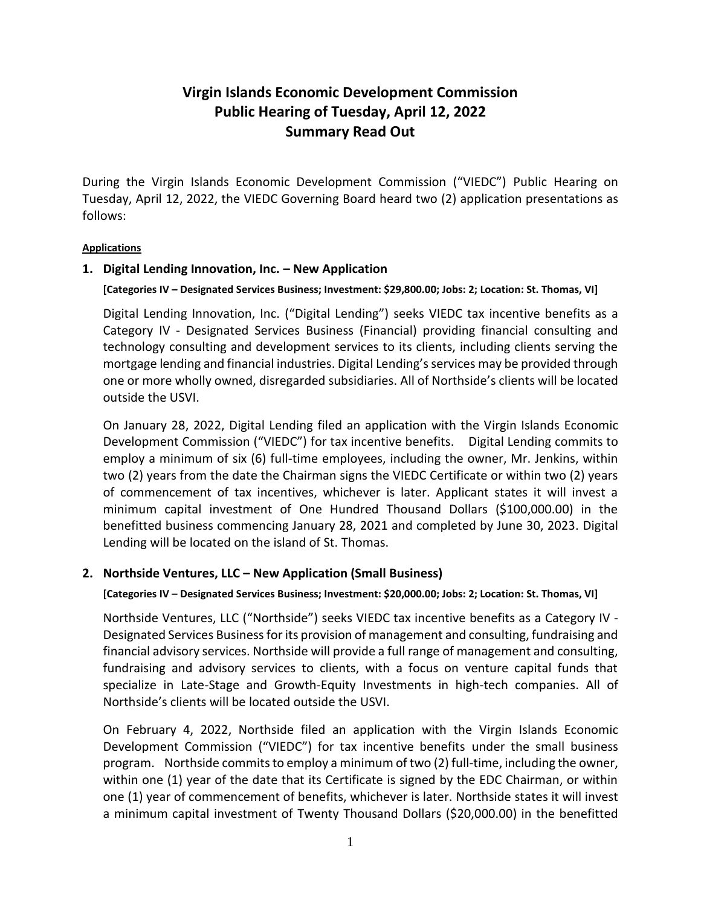# **Virgin Islands Economic Development Commission Public Hearing of Tuesday, April 12, 2022 Summary Read Out**

During the Virgin Islands Economic Development Commission ("VIEDC") Public Hearing on Tuesday, April 12, 2022, the VIEDC Governing Board heard two (2) application presentations as follows:

## **Applications**

## **1. Digital Lending Innovation, Inc. – New Application**

**[Categories IV – Designated Services Business; Investment: \$29,800.00; Jobs: 2; Location: St. Thomas, VI]**

Digital Lending Innovation, Inc. ("Digital Lending") seeks VIEDC tax incentive benefits as a Category IV - Designated Services Business (Financial) providing financial consulting and technology consulting and development services to its clients, including clients serving the mortgage lending and financial industries. Digital Lending's services may be provided through one or more wholly owned, disregarded subsidiaries. All of Northside's clients will be located outside the USVI.

On January 28, 2022, Digital Lending filed an application with the Virgin Islands Economic Development Commission ("VIEDC") for tax incentive benefits. Digital Lending commits to employ a minimum of six (6) full-time employees, including the owner, Mr. Jenkins, within two (2) years from the date the Chairman signs the VIEDC Certificate or within two (2) years of commencement of tax incentives, whichever is later. Applicant states it will invest a minimum capital investment of One Hundred Thousand Dollars (\$100,000.00) in the benefitted business commencing January 28, 2021 and completed by June 30, 2023. Digital Lending will be located on the island of St. Thomas.

## **2. Northside Ventures, LLC – New Application (Small Business)**

### **[Categories IV – Designated Services Business; Investment: \$20,000.00; Jobs: 2; Location: St. Thomas, VI]**

Northside Ventures, LLC ("Northside") seeks VIEDC tax incentive benefits as a Category IV - Designated Services Business for its provision of management and consulting, fundraising and financial advisory services. Northside will provide a full range of management and consulting, fundraising and advisory services to clients, with a focus on venture capital funds that specialize in Late-Stage and Growth-Equity Investments in high-tech companies. All of Northside's clients will be located outside the USVI.

On February 4, 2022, Northside filed an application with the Virgin Islands Economic Development Commission ("VIEDC") for tax incentive benefits under the small business program. Northside commits to employ a minimum of two (2) full-time, including the owner, within one (1) year of the date that its Certificate is signed by the EDC Chairman, or within one (1) year of commencement of benefits, whichever is later. Northside states it will invest a minimum capital investment of Twenty Thousand Dollars (\$20,000.00) in the benefitted